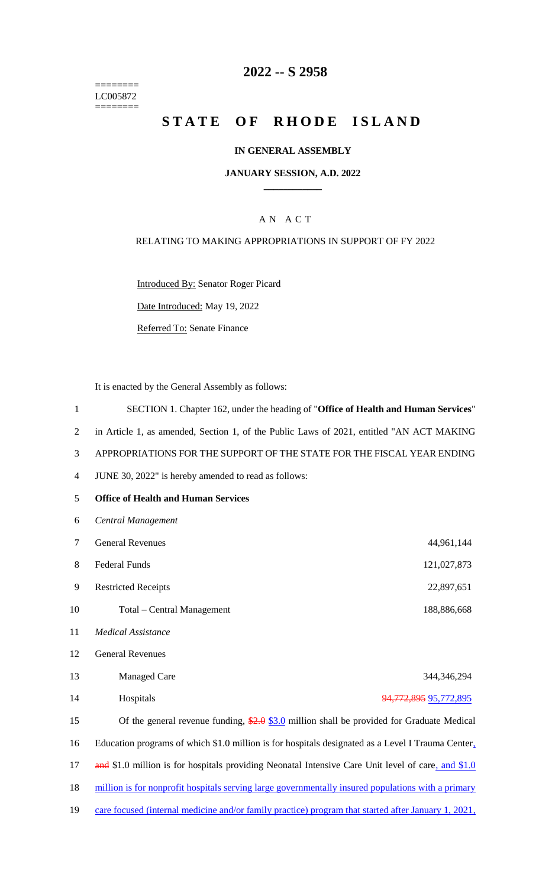======== LC005872  $=$ 

# **2022 -- S 2958**

# **STATE OF RHODE ISLAND**

## **IN GENERAL ASSEMBLY**

### **JANUARY SESSION, A.D. 2022 \_\_\_\_\_\_\_\_\_\_\_\_**

# A N A C T

## RELATING TO MAKING APPROPRIATIONS IN SUPPORT OF FY 2022

Introduced By: Senator Roger Picard

Date Introduced: May 19, 2022

Referred To: Senate Finance

It is enacted by the General Assembly as follows:

| 1              | SECTION 1. Chapter 162, under the heading of "Office of Health and Human Services"                  |  |  |
|----------------|-----------------------------------------------------------------------------------------------------|--|--|
| $\overline{2}$ | in Article 1, as amended, Section 1, of the Public Laws of 2021, entitled "AN ACT MAKING            |  |  |
| 3              | APPROPRIATIONS FOR THE SUPPORT OF THE STATE FOR THE FISCAL YEAR ENDING                              |  |  |
| $\overline{4}$ | JUNE 30, 2022" is hereby amended to read as follows:                                                |  |  |
| 5              | <b>Office of Health and Human Services</b>                                                          |  |  |
| 6              | Central Management                                                                                  |  |  |
| $\tau$         | <b>General Revenues</b><br>44,961,144                                                               |  |  |
| $8\,$          | <b>Federal Funds</b><br>121,027,873                                                                 |  |  |
| 9              | <b>Restricted Receipts</b><br>22,897,651                                                            |  |  |
| 10             | Total – Central Management<br>188,886,668                                                           |  |  |
| 11             | <b>Medical Assistance</b>                                                                           |  |  |
| 12             | <b>General Revenues</b>                                                                             |  |  |
| 13             | <b>Managed Care</b><br>344,346,294                                                                  |  |  |
| 14             | Hospitals<br>94,772,895 95,772,895                                                                  |  |  |
| 15             | Of the general revenue funding, $\frac{$2.0}{$3.0}$ million shall be provided for Graduate Medical  |  |  |
| 16             | Education programs of which \$1.0 million is for hospitals designated as a Level I Trauma Center,   |  |  |
| 17             | and \$1.0 million is for hospitals providing Neonatal Intensive Care Unit level of care, and \$1.0  |  |  |
| 18             | million is for nonprofit hospitals serving large governmentally insured populations with a primary  |  |  |
| 19             | care focused (internal medicine and/or family practice) program that started after January 1, 2021, |  |  |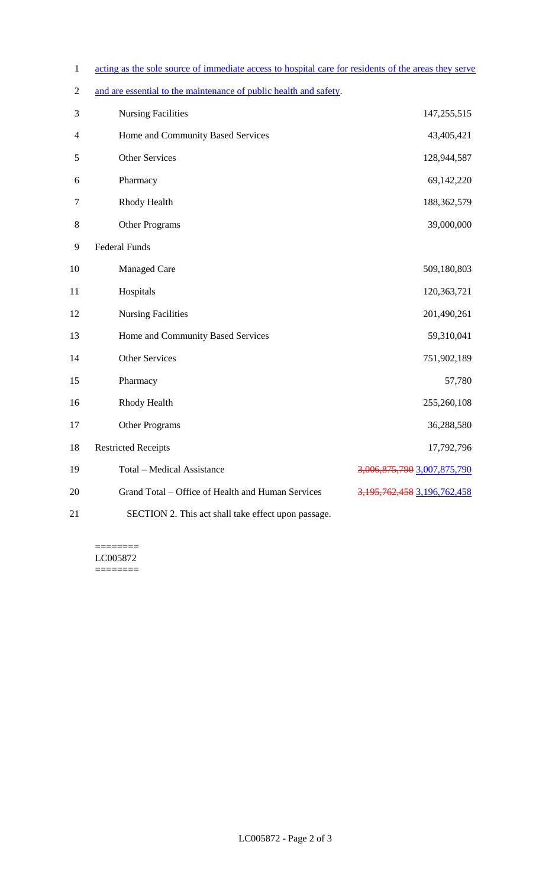- 1 acting as the sole source of immediate access to hospital care for residents of the areas they serve
- 2 and are essential to the maintenance of public health and safety.

| 3              | <b>Nursing Facilities</b>                           | 147,255,515                       |
|----------------|-----------------------------------------------------|-----------------------------------|
| $\overline{4}$ | Home and Community Based Services                   | 43,405,421                        |
| 5              | <b>Other Services</b>                               | 128,944,587                       |
| 6              | Pharmacy                                            | 69,142,220                        |
| $\tau$         | Rhody Health                                        | 188,362,579                       |
| $8\,$          | <b>Other Programs</b>                               | 39,000,000                        |
| 9              | <b>Federal Funds</b>                                |                                   |
| 10             | <b>Managed Care</b>                                 | 509,180,803                       |
| 11             | Hospitals                                           | 120,363,721                       |
| 12             | <b>Nursing Facilities</b>                           | 201,490,261                       |
| 13             | Home and Community Based Services                   | 59,310,041                        |
| 14             | Other Services                                      | 751,902,189                       |
| 15             | Pharmacy                                            | 57,780                            |
| 16             | Rhody Health                                        | 255,260,108                       |
| 17             | Other Programs                                      | 36,288,580                        |
| 18             | <b>Restricted Receipts</b>                          | 17,792,796                        |
| 19             | <b>Total - Medical Assistance</b>                   | 3,006,875,790 3,007,875,790       |
| 20             | Grand Total - Office of Health and Human Services   | 3, 195, 762, 458 3, 196, 762, 458 |
| 21             | SECTION 2. This act shall take effect upon passage. |                                   |

======== LC005872  $=$